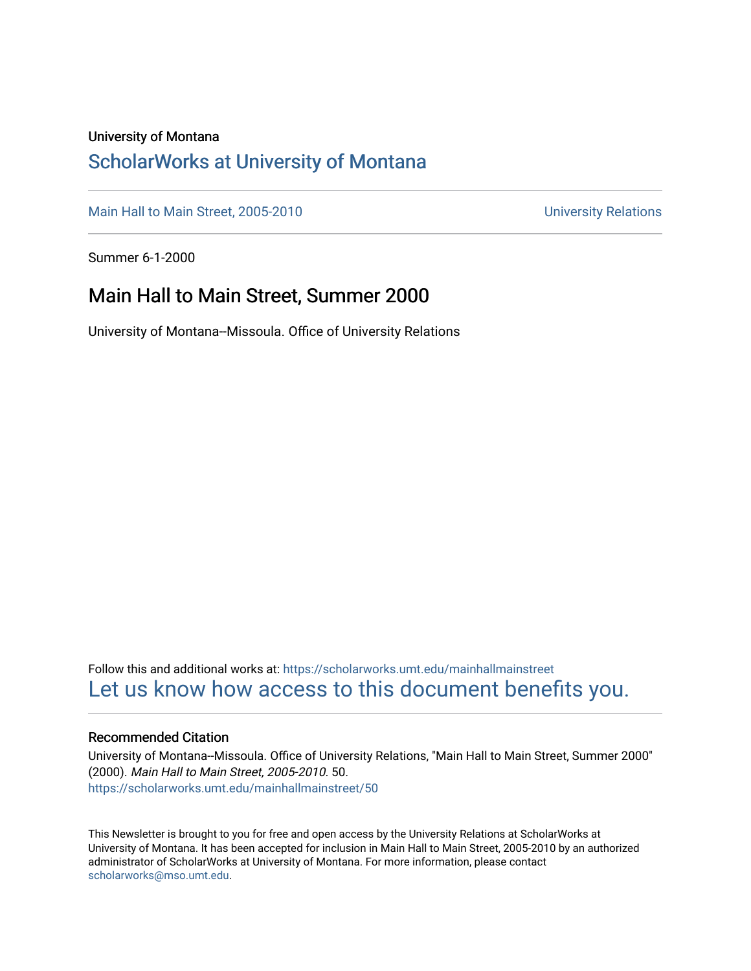#### University of Montana

#### [ScholarWorks at University of Montana](https://scholarworks.umt.edu/)

[Main Hall to Main Street, 2005-2010](https://scholarworks.umt.edu/mainhallmainstreet) Main Hall to Main Street, 2005-2010

Summer 6-1-2000

#### Main Hall to Main Street, Summer 2000

University of Montana--Missoula. Office of University Relations

Follow this and additional works at: [https://scholarworks.umt.edu/mainhallmainstreet](https://scholarworks.umt.edu/mainhallmainstreet?utm_source=scholarworks.umt.edu%2Fmainhallmainstreet%2F50&utm_medium=PDF&utm_campaign=PDFCoverPages) [Let us know how access to this document benefits you.](https://goo.gl/forms/s2rGfXOLzz71qgsB2) 

#### Recommended Citation

University of Montana--Missoula. Office of University Relations, "Main Hall to Main Street, Summer 2000" (2000). Main Hall to Main Street, 2005-2010. 50. [https://scholarworks.umt.edu/mainhallmainstreet/50](https://scholarworks.umt.edu/mainhallmainstreet/50?utm_source=scholarworks.umt.edu%2Fmainhallmainstreet%2F50&utm_medium=PDF&utm_campaign=PDFCoverPages) 

This Newsletter is brought to you for free and open access by the University Relations at ScholarWorks at University of Montana. It has been accepted for inclusion in Main Hall to Main Street, 2005-2010 by an authorized administrator of ScholarWorks at University of Montana. For more information, please contact [scholarworks@mso.umt.edu.](mailto:scholarworks@mso.umt.edu)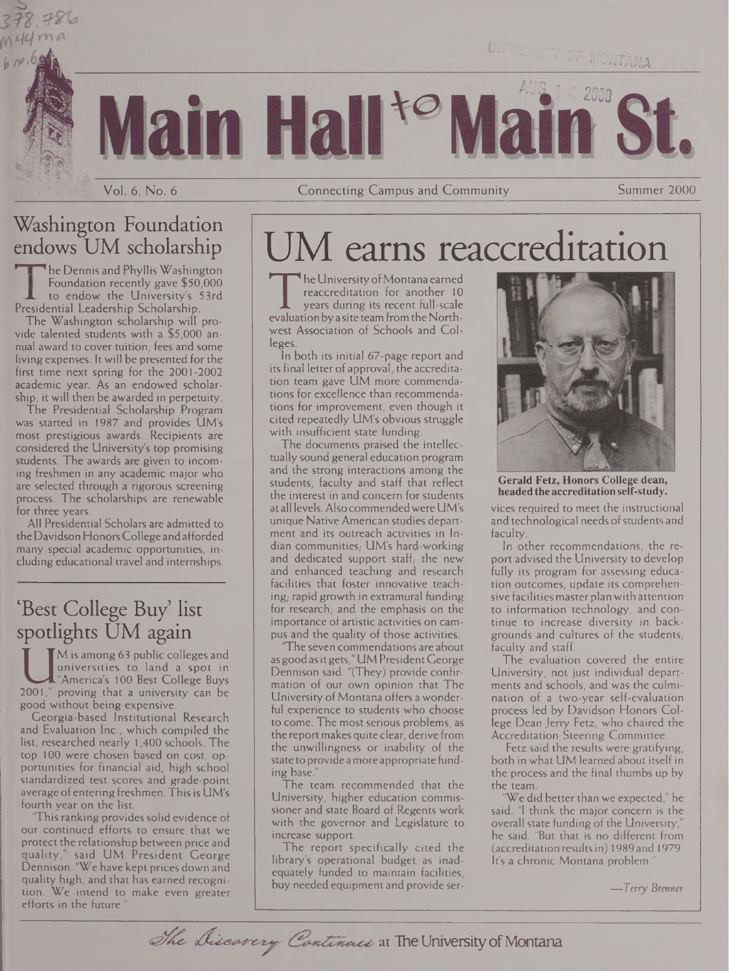

un Ha

Vol. 6, No. 6 **Connecting Campus and Community** Summer 2000

#### Washington Foundation endows UM scholarship

M44ma

 $b$  no,  $b$ ,

**The Dennis and Phyllis Washington** Foundation recently gave \$50,000 to endow the University's 53rd Presidential Leadership Scholarship.

The Washington scholarship will provide talented students with a \$5,000 annual award to cover tuition, fees and some living expenses. It will be presented for the first time next spring for the 2001-2002 academic year. As an endowed scholarship, it will then be awarded in perpetuity.

The Presidential Scholarship Program was started in 1987 and provides UM's most prestigious awards. Recipients are considered the University's top promising students. The awards are given to incoming freshmen in any academic major who are selected through a rigorous screening process. The scholarships are renewable for three years.

All Presidential Scholars are admitted to theDavidson HonorsCollege andafforded many special academic opportunities, including educational travel and internships.

#### 'Best College Buy list spotlights UM again

Universities to land a spot in<br>
"America's 100 Best College Buys<br>
2001," proving that a university can be<br>
good without being expensive M is among 63 public colleges and universities to land a spot in "America's 100 Best College Buys good without being expensive.

Georgia-based Institutional Research and Evaluation Inc., which compiled the list, researched nearly 1,400 schools. The top 100 were chosen based on cost, opportunities for financial aid, high school standardized test scores and grade-point average of entering freshmen. This is UM's fourth year on the list.

This ranking provides solid evidence of our continued efforts to ensure that we protect the relationship between price and quality," said UM President George Dennison. "We have kept prices down and quality high, and that has earned recognition. We intend to make even greater efforts in the future.

# M earns reaccreditation

The University of Montana earned<br>
reaccreditation for another 10<br>
years during its recent full-scale<br>
evaluation by a site team from the North-<br>
west Association of Schools and Colhe University of Montana earned reaccreditation for another 10 years during its recent full-scale west Association of Schools and Colleges.

In both its initial 67-page report and its final letter of approval, the accreditation team gave UM more commendations for excellence than recommendations for improvement, even though it cited repeatedly UM's obvious struggle with insufficient state funding.

The documents praised the intellectually sound general education program and the strong interactions among the students, faculty and staff that reflect the interest in and concern for students at all levels.Also commendedwere UM's unique Native American studies department and its outreach activities in Indian communities, UM's hard-working and dedicated support staff, the new and enhanced teaching and research facilities that foster innovative teaching, rapid growth in extramural funding for research, and the emphasis on the importance of artistic activities on campus and the quality of those activities.

'The seven commendations are about asgoodasitgets,"UM PresidentGeorge Dennison said. "(They) provide confirmation of our own opinion that The University of Montana offers a wonderful experience to students who choose to come. The most serious problems, as the report makes quite clear, derive from the unwillingness or inability of the state to provide amore appropriate funding base.

The team recommended that the University, higher education commissioner and state Board of Regents work with the governor and Legislature to increase support.

The report specifically cited the library's operational budget as inadequately funded to maintain facilities, buy needed equipment and provide ser-

The Discovery Continues at The University of Montana



**Gerald Fetz, Honors College dean, headedtheaccreditationself-study.**

vices required to meet the instructional and technological needs of students and faculty.

In other recommendations, the report advised the University to develop fully its program for assessing education outcomes, update its comprehensive facilities master plan with attention to information technology, and continue to increase diversity in backgrounds and cultures of the students, faculty and staff.

The evaluation covered the entire University, not just individual departments and schools, and was the culmination of a two-year self-evaluation process led by Davidson Honors College Dean Jerry Fetz, who chaired the Accreditation Steering Committee.

Fetz said the results were gratifying, both in what UM learned about itself in the process and the final thumbs up by the team.

We did better than we expected," he said. "I think the major concern is the overall state funding of the University," he said. "But that is no different from (accreditation resultsin) 1989 and 1979. It's a chronic Montana problem."

*—Terry Brenner*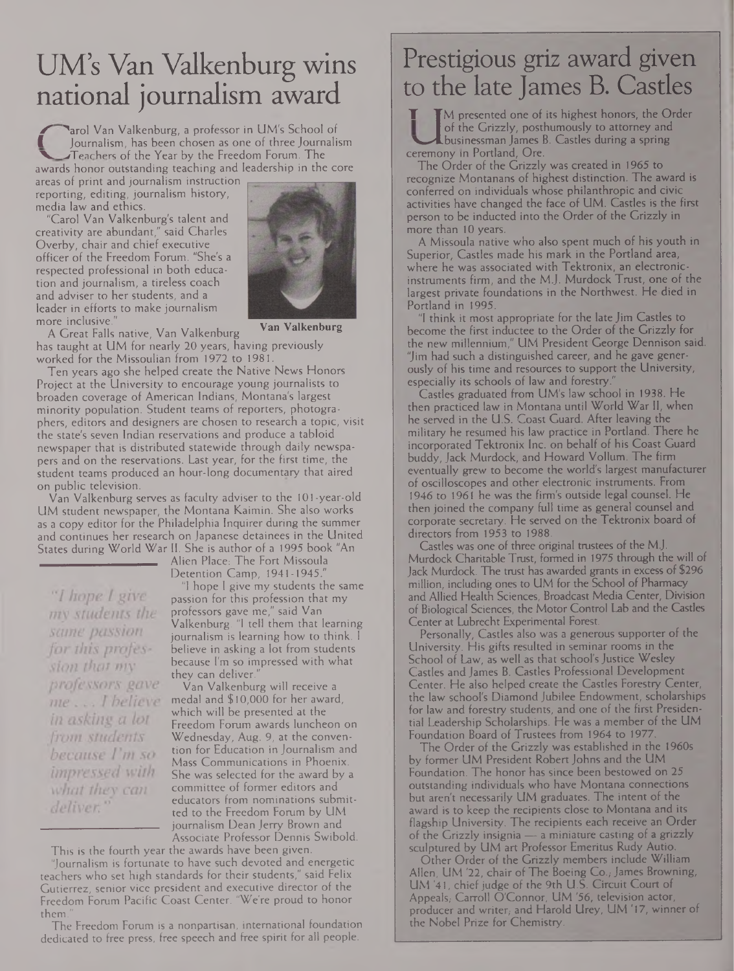## UM's Van Valkenburg wins national journalism award

**Larol Van Valkenburg, a professor in UM's School of I** Journalism, has been chosen as one of three Journalism **XTeachers of the Year by the Freedom Forum. The** awards honor outstanding teaching and leadership in the core

areas of print and journalism instruction reporting, editing, journalism history, media law and ethics.

"Carol Van Valkenburg's talent and creativity are abundant," said Charles Overby, chair and chief executive officer of the Freedom Forum. "She's a respected professional in both education and journalism, a tireless coach and adviser to her students, and a leader in efforts to make journalism more inclusive."



**Van Valkenburg**

A Great Falls native, Van Valkenburg has taught at UM for nearly 20 years, having previously worked for the Missoulian from 1972 to 1981.

Ten years ago she helped create the Native News Honors Project at the University to encourage young journalists to broaden coverage of American Indians, Montana's largest minority population. Student teams of reporters, photographers, editors and designers are chosen to research a topic, visit the state's seven Indian reservations and produce a tabloid newspaper that is distributed statewide through daily newspapers and on the reservations. Last year, for the first time, the student teams produced an hour-long documentary that aired on public television.

Van Valkenburg serves as faculty adviser to the 101-year-old UM student newspaper, the Montana Kaimin. She also works as a copy editor for the Philadelphia Inquirer during the summer and continues her research on Japanese detainees in the United States during World War II. She is author of a 1995 book "An

Alien Place: The Fort Missoula Detention Camp, 1941-1945."

"I hope I give my students the same passion for this profession that my professors gave me...I helieve in asking a lot from students because I'm so impressed with what they can deliver.

"I hope <sup>I</sup> give my students the same passion for this profession that my professors gave me," said Van Valkenburg. "I tell them that learning journalism is learning how to think. <sup>I</sup> believe in asking a lot from students because I'm so impressed with what they can deliver.

Van Valkenburg will receive a medal and \$ 10,000 for her award, which will be presented at the Freedom Forum awards luncheon on Wednesday, Aug. 9, at the convention for Education in Journalism and Mass Communications in Phoenix. She was selected for the award by a committee of former editors and educators from nominations submitted to the Freedom Forum by UM journalism Dean Jerry Brown and Associate Professor Dennis Swibold.

This is the fourth year the awards have been given. "Journalism is fortunate to have such devoted and energetic teachers who set high standards for their students," said Felix Gutierrez, senior vice president and executive director of the Freedom Forum Pacific Coast Center. 'We're proud to honor them.

### Prestigious griz award given to the late James B. Castles

**T TM** presented one of its highest honors, the Order of the Grizzly, posthumously to attorney and Lbusinessman James B. Castles during a spring ceremony in Portland, Ore.

The Order of the Grizzly was created in 1965 to recognize Montanans of highest distinction. The award is conferred on individuals whose philanthropic and Civic activities have changed the face of UM. Castles is the first person to be inducted into the Order of the Grizzly in more than 10 years.

A Missoula native who also spent much of his youth in Superior, Castles made his mark in the Portland area, where he was associated with Tektronix, an electronicinstruments firm, and the M.J. Murdock Trust, one of the largest private foundations in the Northwest. He died in Portland in 1995.

"I think it most appropriate for the late Jim Castles to become the first inductee to the Order of the Grizzly for the new millennium," UM President George Dennison said. "Jim had such a distinguished career, and he gave generously of his time and resources to support the University; especially its schools of law and forestry.

Castles graduated from UM's law school in 1938. He then practiced law in Montana until World War II, when he served in the U.S. Coast Guard. After leaving the military he resumed his law practice in Portland. There he incorporated Tektronix Inc. on behalf of his Coast Guard buddy, Jack Murdock, and Howard Vollum. The firm eventually grew to become the world's largest manufacturer of oscilloscopes and other electronic instruments. From 1946 to 1961 he was the firm's outside legal counsel. He then joined the company full time as general counsel and corporate secretary. He served on the Tektronix board of directors from 1953 to 1988.

Castles was one of three original trustees of the MJ; Murdock Charitable Trust, formed in 1975 through the will of Jack Murdock. The trust has awarded grants in excess of \$296 million, including ones to UM for the School of Pharmacy and Allied Health Sciences, Broadcast Media Center, Division of Biological Sciences, the Motor Control Lab and the Castles Center at Lubrecht Experimental Forest.

Personally, Castles also was a generous supporter of the University. His gifts resulted in seminar rooms in the School of Law, as well as that school's Justice Wesley Castles and James B. Castles Professional Development Center. He also helped create the Castles Forestry Center, the law school's Diamond Jubilee Endowment, scholarships for law and forestry students, and one of the first Presidential Leadership Scholarships. He was a member of the UM Foundation Board of Trustees from 1964 to 1977.

The Order of the Grizzly was established in the 1960s by former UM President Robert Johns and the UM Foundation. The honor has since been bestowed on 25 outstanding individuals who have Montana connections but aren't necessarily UM graduates. The intent of the award is to keep the recipients close to Montana and its flagship University; The recipients each receive an Order of the Grizzly insignia — a miniature casting of a grizzly sculptured by UM art Professor Emeritus Rudy Autio.

Other Order of the Grizzly members include William Allen, UM '22, chair of The Boeing Co., James Browning, UM '41, chief judge of the 9th U.S. Circuit Court of Appeals; Carroll O'Connor, UM '56, television actor, producer and writer, and Harold Urey, UM '17, winner of the Nobel Prize for Chemistry.

The Freedom Forum is a nonpartisan, international foundation dedicated to free press, free speech and free spirit for all people.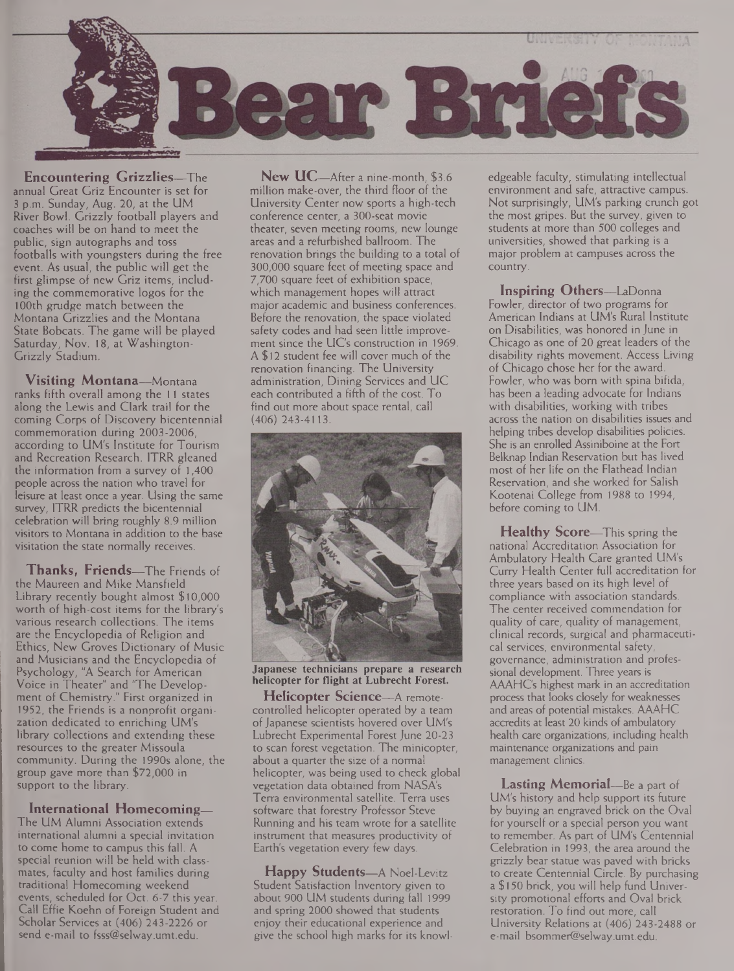

**Encountering Grizzlies—**The annual Great Griz Encounter is set for 3 p.m. Sunday, Aug. 20, at the UM River Bowl. Grizzly football players and coaches will be on hand to meet the public, sign autographs and toss footballs with youngsters during the free event. As usual, the public will get the first glimpse of new Griz items, including the commemorative logos for the 100th grudge match between the Montana Grizzlies and the Montana State Bobcats. The game will be played Saturday, Nov. 18, at Washington-Grizzly Stadium.

**Visiting Montana—**Montana ranks fifth overall among the <sup>11</sup> states along the Lewis and Clark trail for the coming Corps of Discovery bicentennial commemoration during 2003-2006, according to UM's Institute for Tourism and Recreation Research. ITRR gleaned the information from a survey of 1,400 people across the nation who travel for leisure at least once a year. Using the same survey, ITRR predicts the bicentennial celebration will bring roughly 8.9 million visitors to Montana in addition to the base visitation the state normally receives.

**Thanks, Friends—**The Friends of the Maureen and Mike Mansfield Library recently bought almost \$10,000 worth of high-cost items for the library's various research collections. The items are the Encyclopedia of Religion and Ethics, New Groves Dictionary of Music and Musicians and the Encyclopedia of Psychology, "A Search for American Voice in Theater" and 'The Development of Chemistry." First organized in 1952, the Friends is a nonprofit organization dedicated to enriching UM's library collections and extending these resources to the greater Missoula community. During the 1990s alone, the group gave more than \$72,000 in support to the library.

**International Homecoming—** The UM Alumni Association extends international alumni a special invitation to come home to campus this fall. A special reunion will be held with classmates, faculty and host families during traditional Homecoming weekend events, scheduled for Oct. 6-7 this year. Call Effie Koehn of Foreign Student and Scholar Services at (406) 243-2226 or send e-mail to [fsss@selway.umt.edu](mailto:fsss@selway.umt.edu).

**New UC—**After a nine-month, \$3.6 million make-over, the third floor of the University Center now sports a high-tech conference center, a 300-seat movie theater, seven meeting rooms, new lounge areas and a refurbished ballroom. The renovation brings the building to a total of 300,000 square feet of meeting space and 7,700 square feet of exhibition space, which management hopes will attract major academic and business conferences. Before the renovation, the space violated safety codes and had seen little improvement since the UC's construction in 1969. A \$12 student fee will cover much of the renovation financing. The University administration, Dining Services and UC each contributed a fifth of the cost. To find out more about space rental, call (406) 243-4113.



**Japanese technicians prepare a research helicopter for flight at Lubrecht Forest.**

**Helicopter Science—**A remotecontrolled helicopter operated by a team of Japanese scientists hovered over UM's Lubrecht Experimental Forest June 20-23 to scan forest vegetation. The minicopter, about a quarter the size of a normal helicopter, was being used to check global vegetation data obtained from NASA's Terra environmental satellite. Terra uses software that forestry Professor Steve Running and his team wrote for a satellite instrument that measures productivity of Earth's vegetation every few days.

**Happy Students—**A Noel-Levitz Student Satisfaction Inventory given to about 900 UM students during fall 1999 and spring 2000 showed that students enjoy their educational experience and give the school high marks for its knowledgeable faculty, stimulating intellectual environment and safe, attractive campus. Not surprisingly, UM's parking crunch got the most gripes. But the survey, given to students at more than 500 colleges and universities, showed that parking is a major problem at campuses across the country.

**Inspiring Others—**LaDonna Fowler, director of two programs for American Indians at UM's Rural Institute on Disabilities, was honored in June in Chicago as one of 20 great leaders of the disability rights movement. Access Living of Chicago chose her for the award. Fowler, who was bom with spina bifida, has been a leading advocate for Indians with disabilities, working with tribes across the nation on disabilities issues and helping tribes develop disabilities policies. She is an enrolled Assiniboine at the Fort Belknap Indian Reservation but has lived most of her life on the Flathead Indian Reservation, and she worked for Salish Kootenai College from 1988 to 1994, before coming to UM.

**Healthy Score—**This spring the national Accreditation Association for Ambulatory Health Care granted UM's Curry Health Center full accreditation for three years based on its high level of compliance with association standards. The center received commendation for quality of care, quality of management, clinical records, surgical and pharmaceutical services, environmental safety, governance, administration and professional development. Three years is AAAHCs highest mark in an accreditation process that looks closely for weaknesses and areas of potential mistakes. AAAHC accredits at least 20 kinds of ambulatory health care organizations, including health maintenance organizations and pain management clinics.

**Lasting Memorial—**Be a part of UM's history and help support its future by buying an engraved brick on the Oval for yourself or a special person you want to remember. As part of UM's Centennial Celebration in 1993, the area around the grizzly bear statue was paved with bricks to create Centennial Circle. By purchasing a \$150 brick, you will help fund University promotional efforts and Oval brick restoration. To find out more, call University Relations at (406) 243-2488 or e-mail [bsommer@selway.umt.edu](mailto:bsommer@selway.umt.edu).